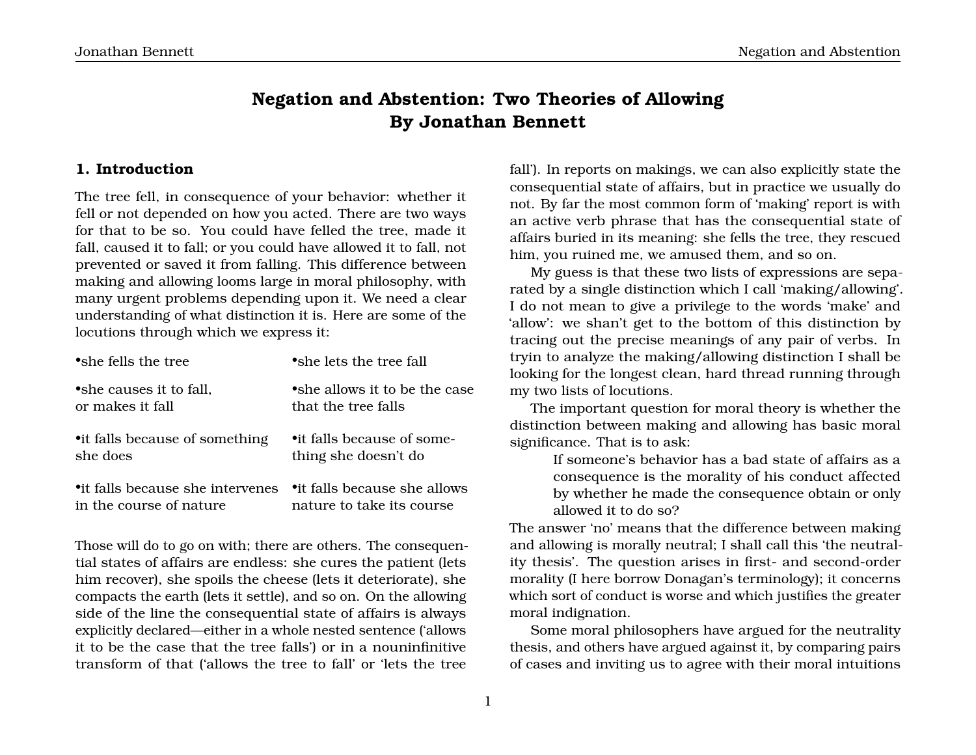# **Negation and Abstention: Two Theories of Allowing By Jonathan Bennett**

#### **1. Introduction**

The tree fell, in consequence of your behavior: whether it fell or not depended on how you acted. There are two ways for that to be so. You could have felled the tree, made it fall, caused it to fall; or you could have allowed it to fall, not prevented or saved it from falling. This difference between making and allowing looms large in moral philosophy, with many urgent problems depending upon it. We need a clear understanding of what distinction it is. Here are some of the locutions through which we express it:

| •she fells the tree              | • she lets the tree fall      |
|----------------------------------|-------------------------------|
| • she causes it to fall,         | •she allows it to be the case |
| or makes it fall                 | that the tree falls           |
| •it falls because of something   | •it falls because of some-    |
| she does                         | thing she doesn't do          |
| •it falls because she intervenes | •it falls because she allows  |
| in the course of nature          | nature to take its course     |

Those will do to go on with; there are others. The consequential states of affairs are endless: she cures the patient (lets him recover), she spoils the cheese (lets it deteriorate), she compacts the earth (lets it settle), and so on. On the allowing side of the line the consequential state of affairs is always explicitly declared—either in a whole nested sentence ('allows it to be the case that the tree falls') or in a nouninfinitive transform of that ('allows the tree to fall' or 'lets the tree

fall'). In reports on makings, we can also explicitly state the consequential state of affairs, but in practice we usually do not. By far the most common form of 'making' report is with an active verb phrase that has the consequential state of affairs buried in its meaning: she fells the tree, they rescued him, you ruined me, we amused them, and so on.

My guess is that these two lists of expressions are separated by a single distinction which I call 'making/allowing'. I do not mean to give a privilege to the words 'make' and 'allow': we shan't get to the bottom of this distinction by tracing out the precise meanings of any pair of verbs. In tryin to analyze the making/allowing distinction I shall be looking for the longest clean, hard thread running through my two lists of locutions.

The important question for moral theory is whether the distinction between making and allowing has basic moral significance. That is to ask:

> If someone's behavior has a bad state of affairs as a consequence is the morality of his conduct affected by whether he made the consequence obtain or only allowed it to do so?

The answer 'no' means that the difference between making and allowing is morally neutral; I shall call this 'the neutrality thesis'. The question arises in first- and second-order morality (I here borrow Donagan's terminology); it concerns which sort of conduct is worse and which justifies the greater moral indignation.

Some moral philosophers have argued for the neutrality thesis, and others have argued against it, by comparing pairs of cases and inviting us to agree with their moral intuitions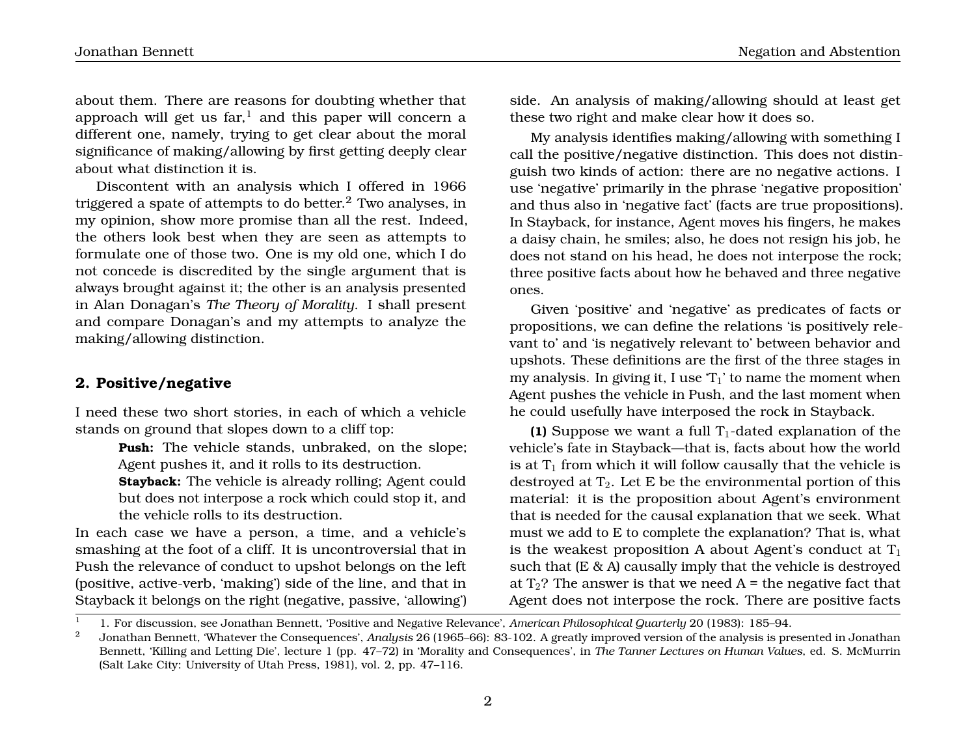Jonathan Bennett Negation and Abstention

about them. There are reasons for doubting whether that approach will get us far,<sup>1</sup> and this paper will concern a different one, namely, trying to get clear about the moral significance of making/allowing by first getting deeply clear about what distinction it is.

Discontent with an analysis which I offered in 1966 triggered a spate of attempts to do better. $<sup>2</sup>$  Two analyses, in</sup> my opinion, show more promise than all the rest. Indeed, the others look best when they are seen as attempts to formulate one of those two. One is my old one, which I do not concede is discredited by the single argument that is always brought against it; the other is an analysis presented in Alan Donagan's *The Theory of Morality*. I shall present and compare Donagan's and my attempts to analyze the making/allowing distinction.

#### **2. Positive/negative**

I need these two short stories, in each of which a vehicle stands on ground that slopes down to a cliff top:

> **Push:** The vehicle stands, unbraked, on the slope; Agent pushes it, and it rolls to its destruction.

> **Stayback:** The vehicle is already rolling; Agent could but does not interpose a rock which could stop it, and the vehicle rolls to its destruction.

In each case we have a person, a time, and a vehicle's smashing at the foot of a cliff. It is uncontroversial that in Push the relevance of conduct to upshot belongs on the left (positive, active-verb, 'making') side of the line, and that in Stayback it belongs on the right (negative, passive, 'allowing')

side. An analysis of making/allowing should at least get these two right and make clear how it does so.

My analysis identifies making/allowing with something I call the positive/negative distinction. This does not distinguish two kinds of action: there are no negative actions. I use 'negative' primarily in the phrase 'negative proposition' and thus also in 'negative fact' (facts are true propositions). In Stayback, for instance, Agent moves his fingers, he makes a daisy chain, he smiles; also, he does not resign his job, he does not stand on his head, he does not interpose the rock; three positive facts about how he behaved and three negative ones.

Given 'positive' and 'negative' as predicates of facts or propositions, we can define the relations 'is positively relevant to' and 'is negatively relevant to' between behavior and upshots. These definitions are the first of the three stages in my analysis. In giving it, I use  $T_1$ ' to name the moment when Agent pushes the vehicle in Push, and the last moment when he could usefully have interposed the rock in Stayback.

**(1)** Suppose we want a full  $T_1$ -dated explanation of the vehicle's fate in Stayback—that is, facts about how the world is at  $T_1$  from which it will follow causally that the vehicle is destroyed at  $T_2$ . Let E be the environmental portion of this material: it is the proposition about Agent's environment that is needed for the causal explanation that we seek. What must we add to E to complete the explanation? That is, what is the weakest proposition A about Agent's conduct at  $T_1$ such that (E & A) causally imply that the vehicle is destroyed at  $T_2$ ? The answer is that we need A = the negative fact that Agent does not interpose the rock. There are positive facts

<sup>1</sup> 1. For discussion, see Jonathan Bennett, 'Positive and Negative Relevance', *American Philosophical Quarterly* 20 (1983): 185–94.

<sup>2</sup> Jonathan Bennett, 'Whatever the Consequences', *Analysis* 26 (1965–66): 83-102. A greatly improved version of the analysis is presented in Jonathan Bennett, 'Killing and Letting Die', lecture 1 (pp. 47–72) in 'Morality and Consequences', in *The Tanner Lectures on Human Values*, ed. S. McMurrin (Salt Lake City: University of Utah Press, 1981), vol. 2, pp. 47–116.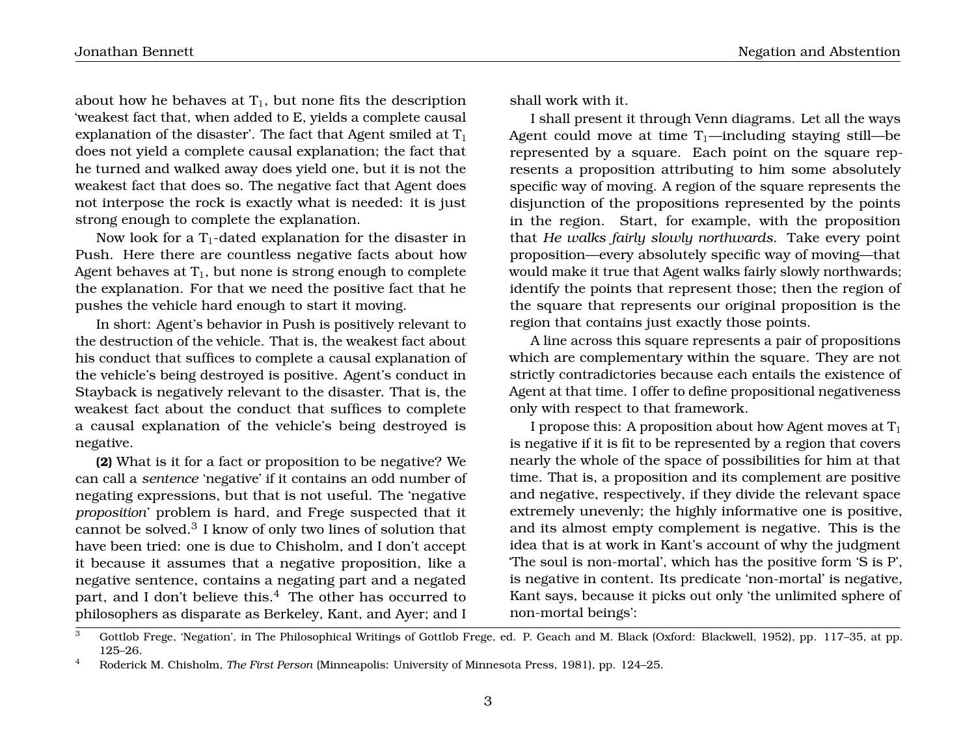about how he behaves at  $T_1$ , but none fits the description 'weakest fact that, when added to E, yields a complete causal explanation of the disaster'. The fact that Agent smiled at  $T_1$ does not yield a complete causal explanation; the fact that he turned and walked away does yield one, but it is not the weakest fact that does so. The negative fact that Agent does not interpose the rock is exactly what is needed: it is just strong enough to complete the explanation.

Now look for a  $T_1$ -dated explanation for the disaster in Push. Here there are countless negative facts about how Agent behaves at  $T_1$ , but none is strong enough to complete the explanation. For that we need the positive fact that he pushes the vehicle hard enough to start it moving.

In short: Agent's behavior in Push is positively relevant to the destruction of the vehicle. That is, the weakest fact about his conduct that suffices to complete a causal explanation of the vehicle's being destroyed is positive. Agent's conduct in Stayback is negatively relevant to the disaster. That is, the weakest fact about the conduct that suffices to complete a causal explanation of the vehicle's being destroyed is negative.

**(2)** What is it for a fact or proposition to be negative? We can call a *sentence* 'negative' if it contains an odd number of negating expressions, but that is not useful. The 'negative *proposition*' problem is hard, and Frege suspected that it cannot be solved. $^3$  I know of only two lines of solution that have been tried: one is due to Chisholm, and I don't accept it because it assumes that a negative proposition, like a negative sentence, contains a negating part and a negated part, and I don't believe this.<sup>4</sup> The other has occurred to philosophers as disparate as Berkeley, Kant, and Ayer; and I

shall work with it.

I shall present it through Venn diagrams. Let all the ways Agent could move at time  $T_1$ —including staying still—be represented by a square. Each point on the square represents a proposition attributing to him some absolutely specific way of moving. A region of the square represents the disjunction of the propositions represented by the points in the region. Start, for example, with the proposition that *He walks fairly slowly northwards*. Take every point proposition—every absolutely specific way of moving—that would make it true that Agent walks fairly slowly northwards; identify the points that represent those; then the region of the square that represents our original proposition is the region that contains just exactly those points.

A line across this square represents a pair of propositions which are complementary within the square. They are not strictly contradictories because each entails the existence of Agent at that time. I offer to define propositional negativeness only with respect to that framework.

I propose this: A proposition about how Agent moves at  $T_1$ is negative if it is fit to be represented by a region that covers nearly the whole of the space of possibilities for him at that time. That is, a proposition and its complement are positive and negative, respectively, if they divide the relevant space extremely unevenly; the highly informative one is positive, and its almost empty complement is negative. This is the idea that is at work in Kant's account of why the judgment 'The soul is non-mortal', which has the positive form 'S is P', is negative in content. Its predicate 'non-mortal' is negative, Kant says, because it picks out only 'the unlimited sphere of non-mortal beings':

<sup>3</sup> Gottlob Frege, 'Negation', in The Philosophical Writings of Gottlob Frege, ed. P. Geach and M. Black (Oxford: Blackwell, 1952), pp. 117–35, at pp. 125–26.

<sup>4</sup> Roderick M. Chisholm, *The First Person* (Minneapolis: University of Minnesota Press, 1981), pp. 124–25.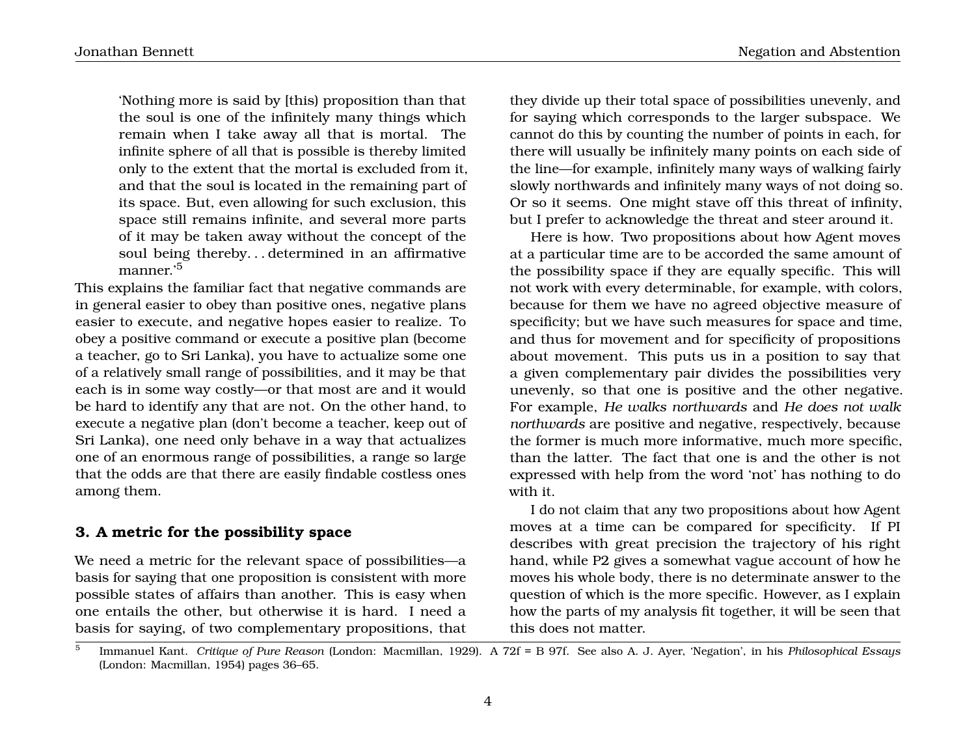'Nothing more is said by [this) proposition than that the soul is one of the infinitely many things which remain when I take away all that is mortal. The infinite sphere of all that is possible is thereby limited only to the extent that the mortal is excluded from it, and that the soul is located in the remaining part of its space. But, even allowing for such exclusion, this space still remains infinite, and several more parts of it may be taken away without the concept of the soul being thereby. . . determined in an affirmative manner.'<sup>5</sup>

This explains the familiar fact that negative commands are in general easier to obey than positive ones, negative plans easier to execute, and negative hopes easier to realize. To obey a positive command or execute a positive plan (become a teacher, go to Sri Lanka), you have to actualize some one of a relatively small range of possibilities, and it may be that each is in some way costly—or that most are and it would be hard to identify any that are not. On the other hand, to execute a negative plan (don't become a teacher, keep out of Sri Lanka), one need only behave in a way that actualizes one of an enormous range of possibilities, a range so large that the odds are that there are easily findable costless ones among them.

# **3. A metric for the possibility space**

We need a metric for the relevant space of possibilities—a basis for saying that one proposition is consistent with more possible states of affairs than another. This is easy when one entails the other, but otherwise it is hard. I need a basis for saying, of two complementary propositions, that they divide up their total space of possibilities unevenly, and for saying which corresponds to the larger subspace. We cannot do this by counting the number of points in each, for there will usually be infinitely many points on each side of the line—for example, infinitely many ways of walking fairly slowly northwards and infinitely many ways of not doing so. Or so it seems. One might stave off this threat of infinity, but I prefer to acknowledge the threat and steer around it.

Here is how. Two propositions about how Agent moves at a particular time are to be accorded the same amount of the possibility space if they are equally specific. This will not work with every determinable, for example, with colors, because for them we have no agreed objective measure of specificity; but we have such measures for space and time, and thus for movement and for specificity of propositions about movement. This puts us in a position to say that a given complementary pair divides the possibilities very unevenly, so that one is positive and the other negative. For example, *He walks northwards* and *He does not walk northwards* are positive and negative, respectively, because the former is much more informative, much more specific, than the latter. The fact that one is and the other is not expressed with help from the word 'not' has nothing to do with it.

I do not claim that any two propositions about how Agent moves at a time can be compared for specificity. If PI describes with great precision the trajectory of his right hand, while P2 gives a somewhat vague account of how he moves his whole body, there is no determinate answer to the question of which is the more specific. However, as I explain how the parts of my analysis fit together, it will be seen that this does not matter.

5 Immanuel Kant. *Critique of Pure Reason* (London: Macmillan, 1929). A 72f = B 97f. See also A. J. Ayer, 'Negation', in his *Philosophical Essays* (London: Macmillan, 1954) pages 36–65.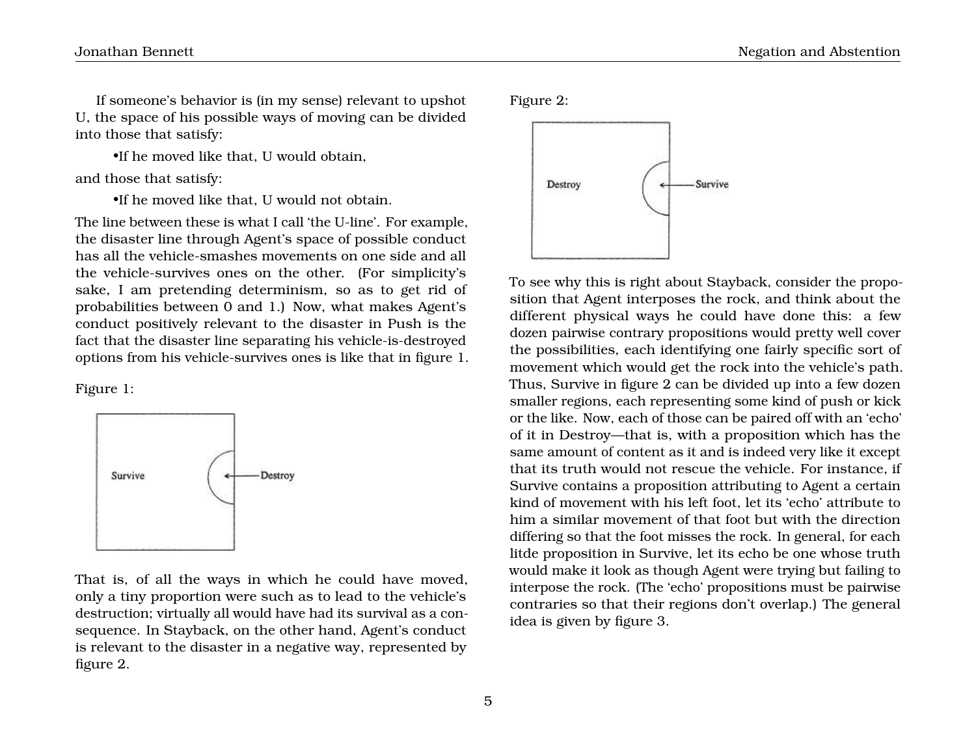If someone's behavior is (in my sense) relevant to upshot U, the space of his possible ways of moving can be divided into those that satisfy:

•If he moved like that, U would obtain,

and those that satisfy:

•If he moved like that, U would not obtain.

The line between these is what I call 'the U-line'. For example, the disaster line through Agent's space of possible conduct has all the vehicle-smashes movements on one side and all the vehicle-survives ones on the other. (For simplicity's sake, I am pretending determinism, so as to get rid of probabilities between 0 and 1.) Now, what makes Agent's conduct positively relevant to the disaster in Push is the fact that the disaster line separating his vehicle-is-destroyed options from his vehicle-survives ones is like that in figure 1.

Figure 1:



That is, of all the ways in which he could have moved, only a tiny proportion were such as to lead to the vehicle's destruction; virtually all would have had its survival as a consequence. In Stayback, on the other hand, Agent's conduct is relevant to the disaster in a negative way, represented by figure 2.

Figure 2:



To see why this is right about Stayback, consider the proposition that Agent interposes the rock, and think about the different physical ways he could have done this: a few dozen pairwise contrary propositions would pretty well cover the possibilities, each identifying one fairly specific sort of movement which would get the rock into the vehicle's path. Thus, Survive in figure 2 can be divided up into a few dozen smaller regions, each representing some kind of push or kick or the like. Now, each of those can be paired off with an 'echo' of it in Destroy—that is, with a proposition which has the same amount of content as it and is indeed very like it except that its truth would not rescue the vehicle. For instance, if Survive contains a proposition attributing to Agent a certain kind of movement with his left foot, let its 'echo' attribute to him a similar movement of that foot but with the direction differing so that the foot misses the rock. In general, for each litde proposition in Survive, let its echo be one whose truth would make it look as though Agent were trying but failing to interpose the rock. (The 'echo' propositions must be pairwise contraries so that their regions don't overlap.) The general idea is given by figure 3.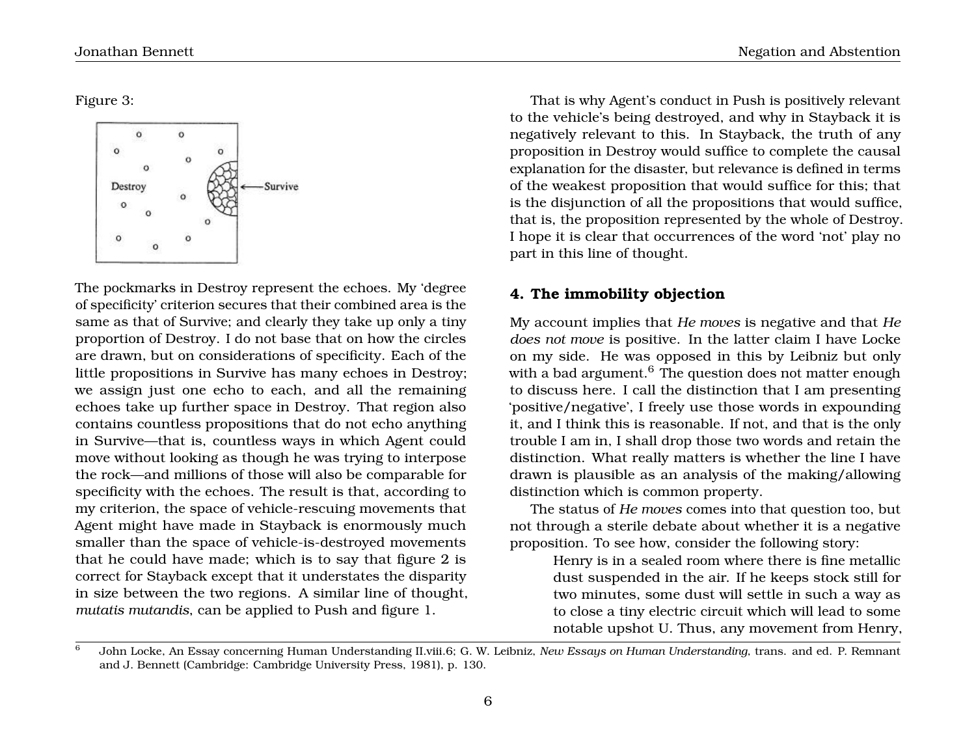Figure 3:



The pockmarks in Destroy represent the echoes. My 'degree of specificity' criterion secures that their combined area is the same as that of Survive; and clearly they take up only a tiny proportion of Destroy. I do not base that on how the circles are drawn, but on considerations of specificity. Each of the little propositions in Survive has many echoes in Destroy; we assign just one echo to each, and all the remaining echoes take up further space in Destroy. That region also contains countless propositions that do not echo anything in Survive—that is, countless ways in which Agent could move without looking as though he was trying to interpose the rock—and millions of those will also be comparable for specificity with the echoes. The result is that, according to my criterion, the space of vehicle-rescuing movements that Agent might have made in Stayback is enormously much smaller than the space of vehicle-is-destroyed movements that he could have made; which is to say that figure 2 is correct for Stayback except that it understates the disparity in size between the two regions. A similar line of thought, *mutatis mutandis*, can be applied to Push and figure 1.

That is why Agent's conduct in Push is positively relevant to the vehicle's being destroyed, and why in Stayback it is negatively relevant to this. In Stayback, the truth of any proposition in Destroy would suffice to complete the causal explanation for the disaster, but relevance is defined in terms of the weakest proposition that would suffice for this; that is the disjunction of all the propositions that would suffice, that is, the proposition represented by the whole of Destroy. I hope it is clear that occurrences of the word 'not' play no part in this line of thought.

#### **4. The immobility objection**

My account implies that *He moves* is negative and that *He does not move* is positive. In the latter claim I have Locke on my side. He was opposed in this by Leibniz but only with a bad argument.<sup>6</sup> The question does not matter enough to discuss here. I call the distinction that I am presenting 'positive/negative', I freely use those words in expounding it, and I think this is reasonable. If not, and that is the only trouble I am in, I shall drop those two words and retain the distinction. What really matters is whether the line I have drawn is plausible as an analysis of the making/allowing distinction which is common property.

The status of *He moves* comes into that question too, but not through a sterile debate about whether it is a negative proposition. To see how, consider the following story:

> Henry is in a sealed room where there is fine metallic dust suspended in the air. If he keeps stock still for two minutes, some dust will settle in such a way as to close a tiny electric circuit which will lead to some notable upshot U. Thus, any movement from Henry,

<sup>6</sup> John Locke, An Essay concerning Human Understanding II.viii.6; G. W. Leibniz, *New Essays on Human Understanding*, trans. and ed. P. Remnant and J. Bennett (Cambridge: Cambridge University Press, 1981), p. 130.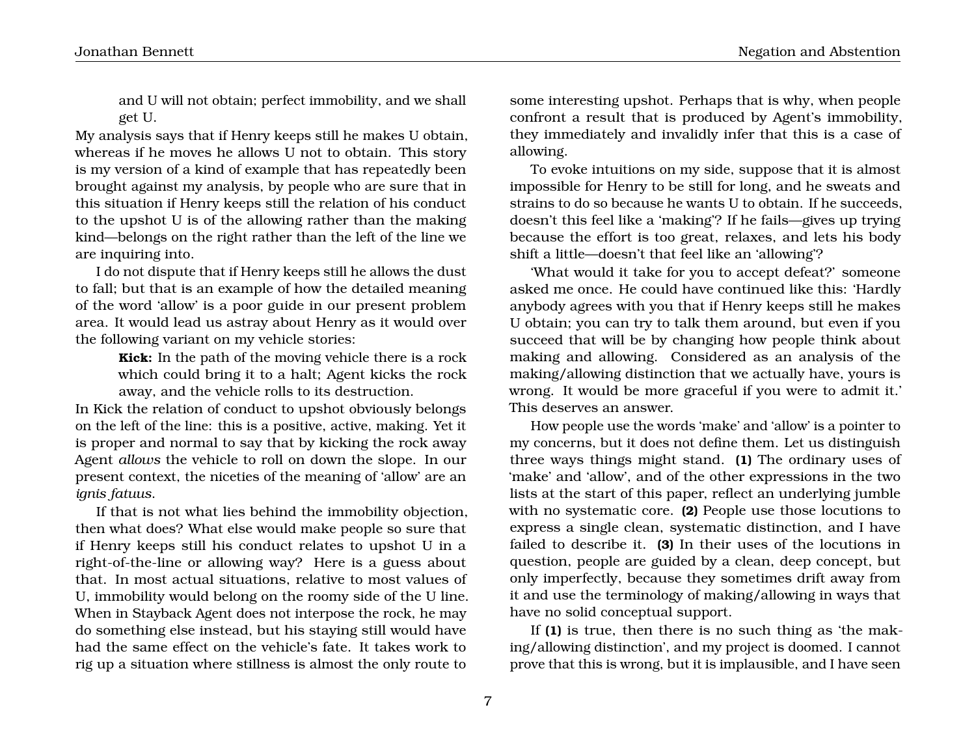and U will not obtain; perfect immobility, and we shall get U.

My analysis says that if Henry keeps still he makes U obtain, whereas if he moves he allows U not to obtain. This story is my version of a kind of example that has repeatedly been brought against my analysis, by people who are sure that in this situation if Henry keeps still the relation of his conduct to the upshot U is of the allowing rather than the making kind—belongs on the right rather than the left of the line we are inquiring into.

I do not dispute that if Henry keeps still he allows the dust to fall; but that is an example of how the detailed meaning of the word 'allow' is a poor guide in our present problem area. It would lead us astray about Henry as it would over the following variant on my vehicle stories:

> **Kick:** In the path of the moving vehicle there is a rock which could bring it to a halt; Agent kicks the rock away, and the vehicle rolls to its destruction.

In Kick the relation of conduct to upshot obviously belongs on the left of the line: this is a positive, active, making. Yet it is proper and normal to say that by kicking the rock away Agent *allows* the vehicle to roll on down the slope. In our present context, the niceties of the meaning of 'allow' are an *ignis fatuus*.

If that is not what lies behind the immobility objection, then what does? What else would make people so sure that if Henry keeps still his conduct relates to upshot U in a right-of-the-line or allowing way? Here is a guess about that. In most actual situations, relative to most values of U, immobility would belong on the roomy side of the U line. When in Stayback Agent does not interpose the rock, he may do something else instead, but his staying still would have had the same effect on the vehicle's fate. It takes work to rig up a situation where stillness is almost the only route to

some interesting upshot. Perhaps that is why, when people confront a result that is produced by Agent's immobility, they immediately and invalidly infer that this is a case of allowing.

To evoke intuitions on my side, suppose that it is almost impossible for Henry to be still for long, and he sweats and strains to do so because he wants U to obtain. If he succeeds, doesn't this feel like a 'making'? If he fails—gives up trying because the effort is too great, relaxes, and lets his body shift a little—doesn't that feel like an 'allowing'?

'What would it take for you to accept defeat?' someone asked me once. He could have continued like this: 'Hardly anybody agrees with you that if Henry keeps still he makes U obtain; you can try to talk them around, but even if you succeed that will be by changing how people think about making and allowing. Considered as an analysis of the making/allowing distinction that we actually have, yours is wrong. It would be more graceful if you were to admit it.' This deserves an answer.

How people use the words 'make' and 'allow' is a pointer to my concerns, but it does not define them. Let us distinguish three ways things might stand. **(1)** The ordinary uses of 'make' and 'allow', and of the other expressions in the two lists at the start of this paper, reflect an underlying jumble with no systematic core. **(2)** People use those locutions to express a single clean, systematic distinction, and I have failed to describe it. **(3)** In their uses of the locutions in question, people are guided by a clean, deep concept, but only imperfectly, because they sometimes drift away from it and use the terminology of making/allowing in ways that have no solid conceptual support.

If **(1)** is true, then there is no such thing as 'the making/allowing distinction', and my project is doomed. I cannot prove that this is wrong, but it is implausible, and I have seen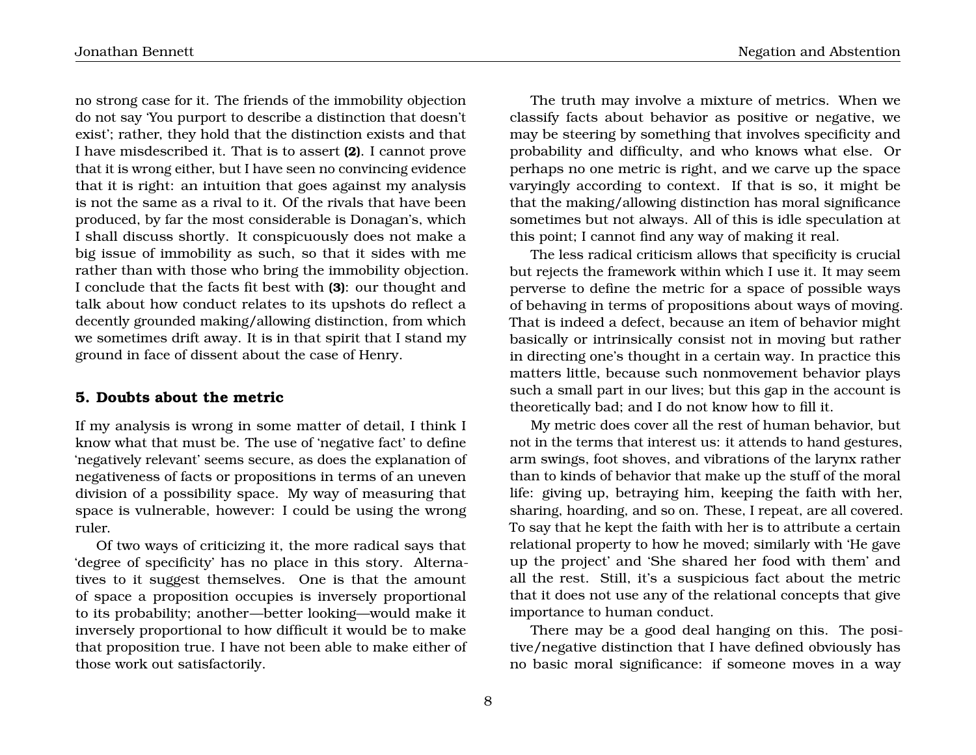no strong case for it. The friends of the immobility objection do not say 'You purport to describe a distinction that doesn't exist'; rather, they hold that the distinction exists and that I have misdescribed it. That is to assert **(2)**. I cannot prove that it is wrong either, but I have seen no convincing evidence that it is right: an intuition that goes against my analysis is not the same as a rival to it. Of the rivals that have been produced, by far the most considerable is Donagan's, which I shall discuss shortly. It conspicuously does not make a big issue of immobility as such, so that it sides with me rather than with those who bring the immobility objection. I conclude that the facts fit best with **(3)**: our thought and talk about how conduct relates to its upshots do reflect a decently grounded making/allowing distinction, from which we sometimes drift away. It is in that spirit that I stand my ground in face of dissent about the case of Henry.

#### **5. Doubts about the metric**

If my analysis is wrong in some matter of detail, I think I know what that must be. The use of 'negative fact' to define 'negatively relevant' seems secure, as does the explanation of negativeness of facts or propositions in terms of an uneven division of a possibility space. My way of measuring that space is vulnerable, however: I could be using the wrong ruler.

Of two ways of criticizing it, the more radical says that 'degree of specificity' has no place in this story. Alternatives to it suggest themselves. One is that the amount of space a proposition occupies is inversely proportional to its probability; another—better looking—would make it inversely proportional to how difficult it would be to make that proposition true. I have not been able to make either of those work out satisfactorily.

The truth may involve a mixture of metrics. When we classify facts about behavior as positive or negative, we may be steering by something that involves specificity and probability and difficulty, and who knows what else. Or perhaps no one metric is right, and we carve up the space varyingly according to context. If that is so, it might be that the making/allowing distinction has moral significance sometimes but not always. All of this is idle speculation at this point; I cannot find any way of making it real.

The less radical criticism allows that specificity is crucial but rejects the framework within which I use it. It may seem perverse to define the metric for a space of possible ways of behaving in terms of propositions about ways of moving. That is indeed a defect, because an item of behavior might basically or intrinsically consist not in moving but rather in directing one's thought in a certain way. In practice this matters little, because such nonmovement behavior plays such a small part in our lives; but this gap in the account is theoretically bad; and I do not know how to fill it.

My metric does cover all the rest of human behavior, but not in the terms that interest us: it attends to hand gestures, arm swings, foot shoves, and vibrations of the larynx rather than to kinds of behavior that make up the stuff of the moral life: giving up, betraying him, keeping the faith with her, sharing, hoarding, and so on. These, I repeat, are all covered. To say that he kept the faith with her is to attribute a certain relational property to how he moved; similarly with 'He gave up the project' and 'She shared her food with them' and all the rest. Still, it's a suspicious fact about the metric that it does not use any of the relational concepts that give importance to human conduct.

There may be a good deal hanging on this. The positive/negative distinction that I have defined obviously has no basic moral significance: if someone moves in a way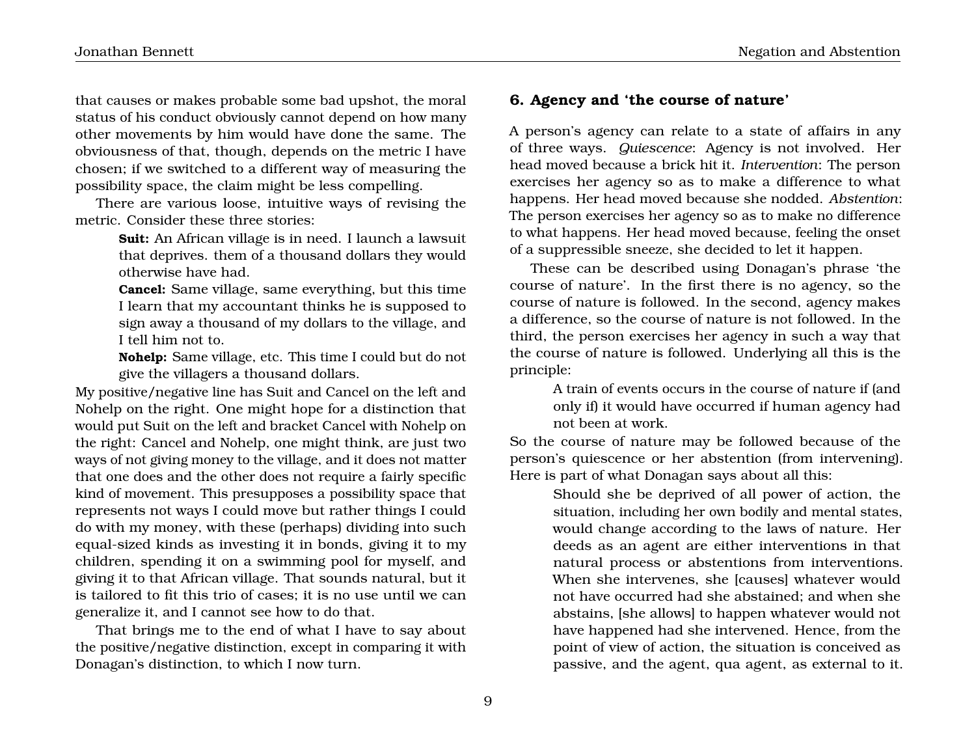that causes or makes probable some bad upshot, the moral status of his conduct obviously cannot depend on how many other movements by him would have done the same. The obviousness of that, though, depends on the metric I have chosen; if we switched to a different way of measuring the possibility space, the claim might be less compelling.

There are various loose, intuitive ways of revising the metric. Consider these three stories:

> **Suit:** An African village is in need. I launch a lawsuit that deprives. them of a thousand dollars they would otherwise have had.

> **Cancel:** Same village, same everything, but this time I learn that my accountant thinks he is supposed to sign away a thousand of my dollars to the village, and I tell him not to.

> **Nohelp:** Same village, etc. This time I could but do not give the villagers a thousand dollars.

My positive/negative line has Suit and Cancel on the left and Nohelp on the right. One might hope for a distinction that would put Suit on the left and bracket Cancel with Nohelp on the right: Cancel and Nohelp, one might think, are just two ways of not giving money to the village, and it does not matter that one does and the other does not require a fairly specific kind of movement. This presupposes a possibility space that represents not ways I could move but rather things I could do with my money, with these (perhaps) dividing into such equal-sized kinds as investing it in bonds, giving it to my children, spending it on a swimming pool for myself, and giving it to that African village. That sounds natural, but it is tailored to fit this trio of cases; it is no use until we can generalize it, and I cannot see how to do that.

That brings me to the end of what I have to say about the positive/negative distinction, except in comparing it with Donagan's distinction, to which I now turn.

#### **6. Agency and 'the course of nature'**

A person's agency can relate to a state of affairs in any of three ways. *Quiescence*: Agency is not involved. Her head moved because a brick hit it. *Intervention*: The person exercises her agency so as to make a difference to what happens. Her head moved because she nodded. *Abstention*: The person exercises her agency so as to make no difference to what happens. Her head moved because, feeling the onset of a suppressible sneeze, she decided to let it happen.

These can be described using Donagan's phrase 'the course of nature'. In the first there is no agency, so the course of nature is followed. In the second, agency makes a difference, so the course of nature is not followed. In the third, the person exercises her agency in such a way that the course of nature is followed. Underlying all this is the principle:

> A train of events occurs in the course of nature if (and only if) it would have occurred if human agency had not been at work.

So the course of nature may be followed because of the person's quiescence or her abstention (from intervening). Here is part of what Donagan says about all this:

> Should she be deprived of all power of action, the situation, including her own bodily and mental states, would change according to the laws of nature. Her deeds as an agent are either interventions in that natural process or abstentions from interventions. When she intervenes, she [causes] whatever would not have occurred had she abstained; and when she abstains, [she allows] to happen whatever would not have happened had she intervened. Hence, from the point of view of action, the situation is conceived as passive, and the agent, qua agent, as external to it.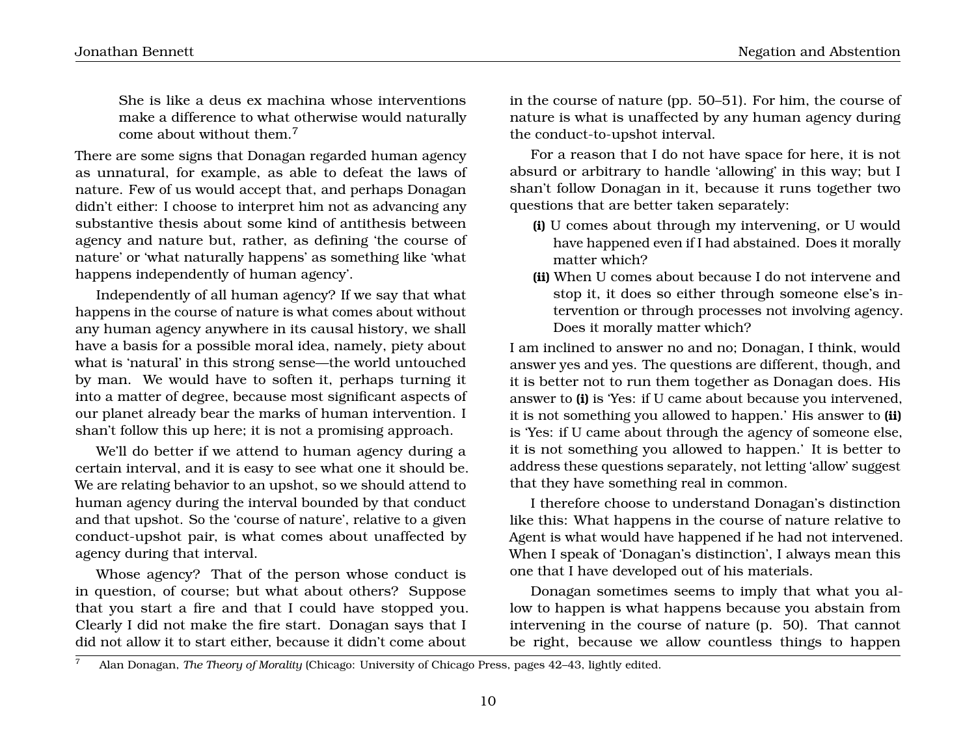She is like a deus ex machina whose interventions make a difference to what otherwise would naturally come about without them.<sup>7</sup>

There are some signs that Donagan regarded human agency as unnatural, for example, as able to defeat the laws of nature. Few of us would accept that, and perhaps Donagan didn't either: I choose to interpret him not as advancing any substantive thesis about some kind of antithesis between agency and nature but, rather, as defining 'the course of nature' or 'what naturally happens' as something like 'what happens independently of human agency'.

Independently of all human agency? If we say that what happens in the course of nature is what comes about without any human agency anywhere in its causal history, we shall have a basis for a possible moral idea, namely, piety about what is 'natural' in this strong sense—the world untouched by man. We would have to soften it, perhaps turning it into a matter of degree, because most significant aspects of our planet already bear the marks of human intervention. I shan't follow this up here; it is not a promising approach.

We'll do better if we attend to human agency during a certain interval, and it is easy to see what one it should be. We are relating behavior to an upshot, so we should attend to human agency during the interval bounded by that conduct and that upshot. So the 'course of nature', relative to a given conduct-upshot pair, is what comes about unaffected by agency during that interval.

Whose agency? That of the person whose conduct is in question, of course; but what about others? Suppose that you start a fire and that I could have stopped you. Clearly I did not make the fire start. Donagan says that I did not allow it to start either, because it didn't come about in the course of nature (pp. 50–51). For him, the course of nature is what is unaffected by any human agency during the conduct-to-upshot interval.

For a reason that I do not have space for here, it is not absurd or arbitrary to handle 'allowing' in this way; but I shan't follow Donagan in it, because it runs together two questions that are better taken separately:

- **(i)** U comes about through my intervening, or U would have happened even if I had abstained. Does it morally matter which?
- **(ii)** When U comes about because I do not intervene and stop it, it does so either through someone else's intervention or through processes not involving agency. Does it morally matter which?

I am inclined to answer no and no; Donagan, I think, would answer yes and yes. The questions are different, though, and it is better not to run them together as Donagan does. His answer to **(i)** is 'Yes: if U came about because you intervened, it is not something you allowed to happen.' His answer to **(ii)** is 'Yes: if U came about through the agency of someone else, it is not something you allowed to happen.' It is better to address these questions separately, not letting 'allow' suggest that they have something real in common.

I therefore choose to understand Donagan's distinction like this: What happens in the course of nature relative to Agent is what would have happened if he had not intervened. When I speak of 'Donagan's distinction', I always mean this one that I have developed out of his materials.

Donagan sometimes seems to imply that what you allow to happen is what happens because you abstain from intervening in the course of nature (p. 50). That cannot be right, because we allow countless things to happen

<sup>7</sup> Alan Donagan, *The Theory of Morality* (Chicago: University of Chicago Press, pages 42–43, lightly edited.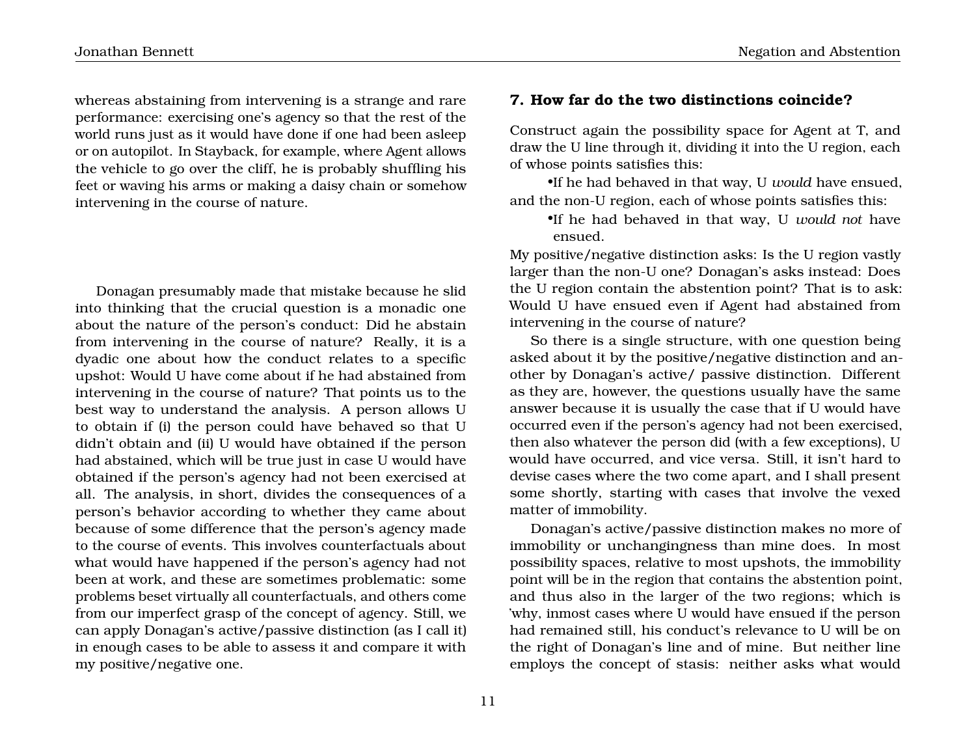whereas abstaining from intervening is a strange and rare performance: exercising one's agency so that the rest of the world runs just as it would have done if one had been asleep or on autopilot. In Stayback, for example, where Agent allows the vehicle to go over the cliff, he is probably shuffling his feet or waving his arms or making a daisy chain or somehow intervening in the course of nature.

Donagan presumably made that mistake because he slid into thinking that the crucial question is a monadic one about the nature of the person's conduct: Did he abstain from intervening in the course of nature? Really, it is a dyadic one about how the conduct relates to a specific upshot: Would U have come about if he had abstained from intervening in the course of nature? That points us to the best way to understand the analysis. A person allows U to obtain if (i) the person could have behaved so that U didn't obtain and (ii) U would have obtained if the person had abstained, which will be true just in case U would have obtained if the person's agency had not been exercised at all. The analysis, in short, divides the consequences of a person's behavior according to whether they came about because of some difference that the person's agency made to the course of events. This involves counterfactuals about what would have happened if the person's agency had not been at work, and these are sometimes problematic: some problems beset virtually all counterfactuals, and others come from our imperfect grasp of the concept of agency. Still, we can apply Donagan's active/passive distinction (as I call it) in enough cases to be able to assess it and compare it with my positive/negative one.

#### **7. How far do the two distinctions coincide?**

Construct again the possibility space for Agent at T, and draw the U line through it, dividing it into the U region, each of whose points satisfies this:

•If he had behaved in that way, U *would* have ensued, and the non-U region, each of whose points satisfies this:

•If he had behaved in that way, U *would not* have ensued.

My positive/negative distinction asks: Is the U region vastly larger than the non-U one? Donagan's asks instead: Does the U region contain the abstention point? That is to ask: Would U have ensued even if Agent had abstained from intervening in the course of nature?

So there is a single structure, with one question being asked about it by the positive/negative distinction and another by Donagan's active/ passive distinction. Different as they are, however, the questions usually have the same answer because it is usually the case that if U would have occurred even if the person's agency had not been exercised, then also whatever the person did (with a few exceptions), U would have occurred, and vice versa. Still, it isn't hard to devise cases where the two come apart, and I shall present some shortly, starting with cases that involve the vexed matter of immobility.

Donagan's active/passive distinction makes no more of immobility or unchangingness than mine does. In most possibility spaces, relative to most upshots, the immobility point will be in the region that contains the abstention point, and thus also in the larger of the two regions; which is 'why, inmost cases where U would have ensued if the person had remained still, his conduct's relevance to U will be on the right of Donagan's line and of mine. But neither line employs the concept of stasis: neither asks what would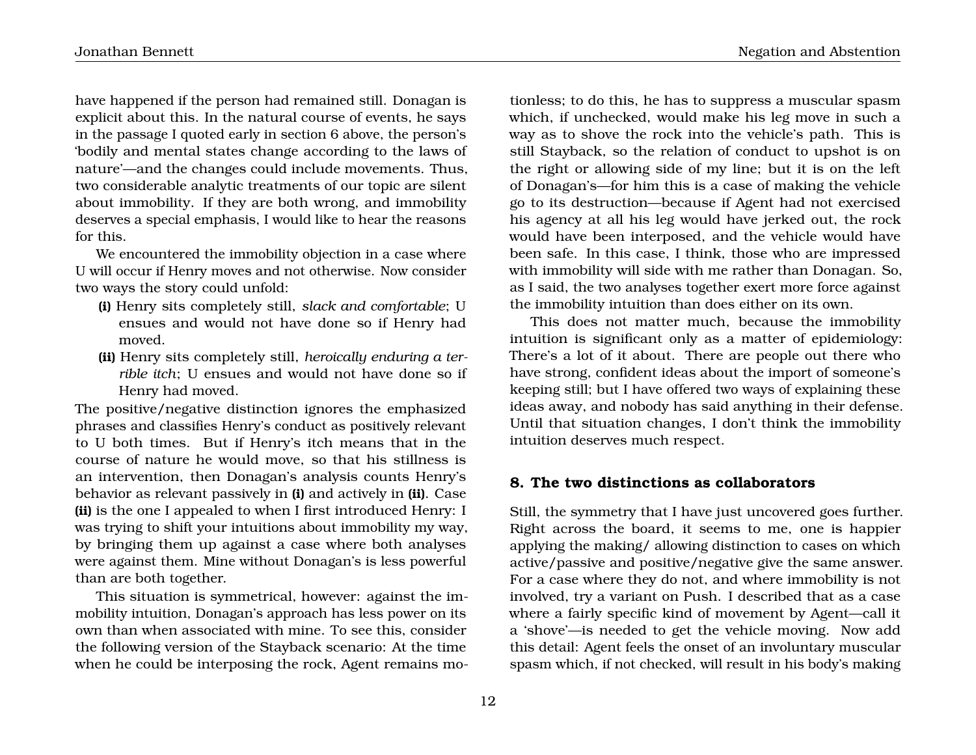have happened if the person had remained still. Donagan is explicit about this. In the natural course of events, he says in the passage I quoted early in section 6 above, the person's 'bodily and mental states change according to the laws of nature'—and the changes could include movements. Thus, two considerable analytic treatments of our topic are silent about immobility. If they are both wrong, and immobility deserves a special emphasis, I would like to hear the reasons for this.

We encountered the immobility objection in a case where U will occur if Henry moves and not otherwise. Now consider two ways the story could unfold:

- **(i)** Henry sits completely still, *slack and comfortable*; U ensues and would not have done so if Henry had moved.
- **(ii)** Henry sits completely still, *heroically enduring a terrible itch*; U ensues and would not have done so if Henry had moved.

The positive/negative distinction ignores the emphasized phrases and classifies Henry's conduct as positively relevant to U both times. But if Henry's itch means that in the course of nature he would move, so that his stillness is an intervention, then Donagan's analysis counts Henry's behavior as relevant passively in **(i)** and actively in **(ii)**. Case **(ii)** is the one I appealed to when I first introduced Henry: I was trying to shift your intuitions about immobility my way, by bringing them up against a case where both analyses were against them. Mine without Donagan's is less powerful than are both together.

This situation is symmetrical, however: against the immobility intuition, Donagan's approach has less power on its own than when associated with mine. To see this, consider the following version of the Stayback scenario: At the time when he could be interposing the rock, Agent remains motionless; to do this, he has to suppress a muscular spasm which, if unchecked, would make his leg move in such a way as to shove the rock into the vehicle's path. This is still Stayback, so the relation of conduct to upshot is on the right or allowing side of my line; but it is on the left of Donagan's—for him this is a case of making the vehicle go to its destruction—because if Agent had not exercised his agency at all his leg would have jerked out, the rock would have been interposed, and the vehicle would have been safe. In this case, I think, those who are impressed with immobility will side with me rather than Donagan. So, as I said, the two analyses together exert more force against the immobility intuition than does either on its own.

This does not matter much, because the immobility intuition is significant only as a matter of epidemiology: There's a lot of it about. There are people out there who have strong, confident ideas about the import of someone's keeping still; but I have offered two ways of explaining these ideas away, and nobody has said anything in their defense. Until that situation changes, I don't think the immobility intuition deserves much respect.

# **8. The two distinctions as collaborators**

Still, the symmetry that I have just uncovered goes further. Right across the board, it seems to me, one is happier applying the making/ allowing distinction to cases on which active/passive and positive/negative give the same answer. For a case where they do not, and where immobility is not involved, try a variant on Push. I described that as a case where a fairly specific kind of movement by Agent—call it a 'shove'—is needed to get the vehicle moving. Now add this detail: Agent feels the onset of an involuntary muscular spasm which, if not checked, will result in his body's making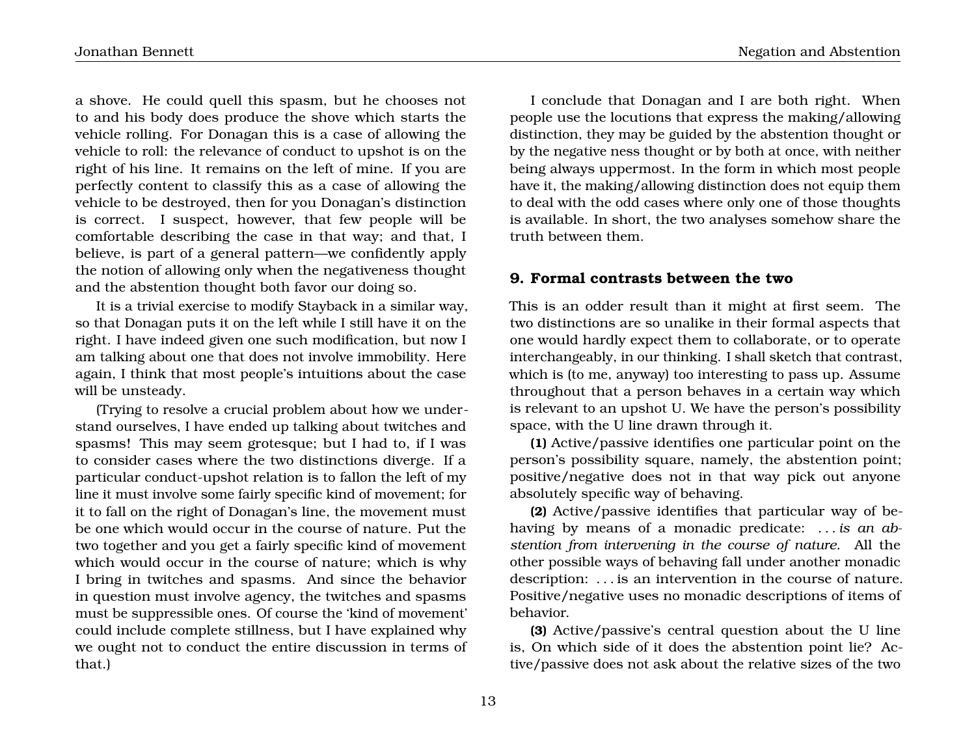a shove. He could quell this spasm, but he chooses not to and his body does produce the shove which starts the vehicle rolling. For Donagan this is a case of allowing the vehicle to roll: the relevance of conduct to upshot is on the right of his line. It remains on the left of mine. If you are perfectly content to classify this as a case of allowing the vehicle to be destroyed, then for you Donagan's distinction is correct. I suspect, however, that few people will be comfortable describing the case in that way; and that, I believe, is part of a general pattern—we confidently apply the notion of allowing only when the negativeness thought and the abstention thought both favor our doing so.

It is a trivial exercise to modify Stayback in a similar way, so that Donagan puts it on the left while I still have it on the right. I have indeed given one such modification, but now I am talking about one that does not involve immobility. Here again, I think that most people's intuitions about the case will be unsteady.

(Trying to resolve a crucial problem about how we understand ourselves, I have ended up talking about twitches and spasms! This may seem grotesque; but I had to, if I was to consider cases where the two distinctions diverge. If a particular conduct-upshot relation is to fallon the left of my line it must involve some fairly specific kind of movement; for it to fall on the right of Donagan's line, the movement must be one which would occur in the course of nature. Put the two together and you get a fairly specific kind of movement which would occur in the course of nature; which is why I bring in twitches and spasms. And since the behavior in question must involve agency, the twitches and spasms must be suppressible ones. Of course the 'kind of movement' could include complete stillness, but I have explained why we ought not to conduct the entire discussion in terms of that.)

I conclude that Donagan and I are both right. When people use the locutions that express the making/allowing distinction, they may be guided by the abstention thought or by the negative ness thought or by both at once, with neither being always uppermost. In the form in which most people have it, the making/allowing distinction does not equip them to deal with the odd cases where only one of those thoughts is available. In short, the two analyses somehow share the truth between them.

# **9. Formal contrasts between the two**

This is an odder result than it might at first seem. The two distinctions are so unalike in their formal aspects that one would hardly expect them to collaborate, or to operate interchangeably, in our thinking. I shall sketch that contrast, which is (to me, anyway) too interesting to pass up. Assume throughout that a person behaves in a certain way which is relevant to an upshot U. We have the person's possibility space, with the U line drawn through it.

**(1)** Active/passive identifies one particular point on the person's possibility square, namely, the abstention point; positive/negative does not in that way pick out anyone absolutely specific way of behaving.

**(2)** Active/passive identifies that particular way of behaving by means of a monadic predicate: . . . *is an abstention from intervening in the course of nature*. All the other possible ways of behaving fall under another monadic description: . . . is an intervention in the course of nature. Positive/negative uses no monadic descriptions of items of behavior.

**(3)** Active/passive's central question about the U line is, On which side of it does the abstention point lie? Active/passive does not ask about the relative sizes of the two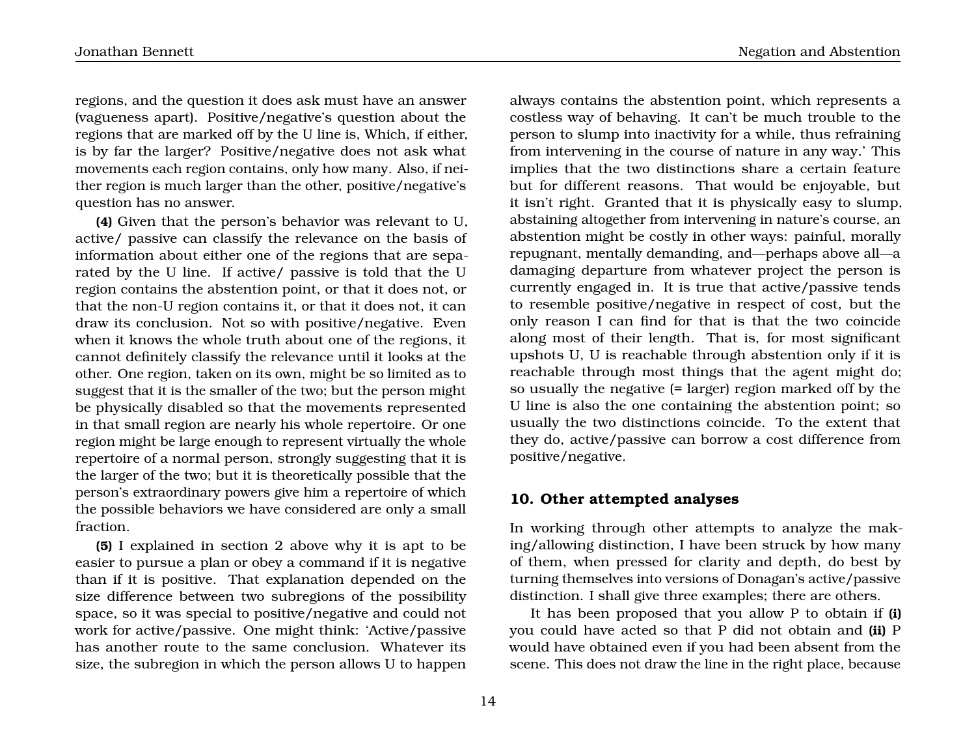regions, and the question it does ask must have an answer (vagueness apart). Positive/negative's question about the regions that are marked off by the U line is, Which, if either, is by far the larger? Positive/negative does not ask what movements each region contains, only how many. Also, if neither region is much larger than the other, positive/negative's question has no answer.

**(4)** Given that the person's behavior was relevant to U, active/ passive can classify the relevance on the basis of information about either one of the regions that are separated by the U line. If active/ passive is told that the U region contains the abstention point, or that it does not, or that the non-U region contains it, or that it does not, it can draw its conclusion. Not so with positive/negative. Even when it knows the whole truth about one of the regions, it cannot definitely classify the relevance until it looks at the other. One region, taken on its own, might be so limited as to suggest that it is the smaller of the two; but the person might be physically disabled so that the movements represented in that small region are nearly his whole repertoire. Or one region might be large enough to represent virtually the whole repertoire of a normal person, strongly suggesting that it is the larger of the two; but it is theoretically possible that the person's extraordinary powers give him a repertoire of which the possible behaviors we have considered are only a small fraction.

**(5)** I explained in section 2 above why it is apt to be easier to pursue a plan or obey a command if it is negative than if it is positive. That explanation depended on the size difference between two subregions of the possibility space, so it was special to positive/negative and could not work for active/passive. One might think: 'Active/passive has another route to the same conclusion. Whatever its size, the subregion in which the person allows U to happen

always contains the abstention point, which represents a costless way of behaving. It can't be much trouble to the person to slump into inactivity for a while, thus refraining from intervening in the course of nature in any way.' This implies that the two distinctions share a certain feature but for different reasons. That would be enjoyable, but it isn't right. Granted that it is physically easy to slump, abstaining altogether from intervening in nature's course, an abstention might be costly in other ways: painful, morally repugnant, mentally demanding, and—perhaps above all—a damaging departure from whatever project the person is currently engaged in. It is true that active/passive tends to resemble positive/negative in respect of cost, but the only reason I can find for that is that the two coincide along most of their length. That is, for most significant upshots U, U is reachable through abstention only if it is reachable through most things that the agent might do; so usually the negative (= larger) region marked off by the U line is also the one containing the abstention point; so usually the two distinctions coincide. To the extent that they do, active/passive can borrow a cost difference from positive/negative.

#### **10. Other attempted analyses**

In working through other attempts to analyze the making/allowing distinction, I have been struck by how many of them, when pressed for clarity and depth, do best by turning themselves into versions of Donagan's active/passive distinction. I shall give three examples; there are others.

It has been proposed that you allow P to obtain if **(i)** you could have acted so that P did not obtain and **(ii)** P would have obtained even if you had been absent from the scene. This does not draw the line in the right place, because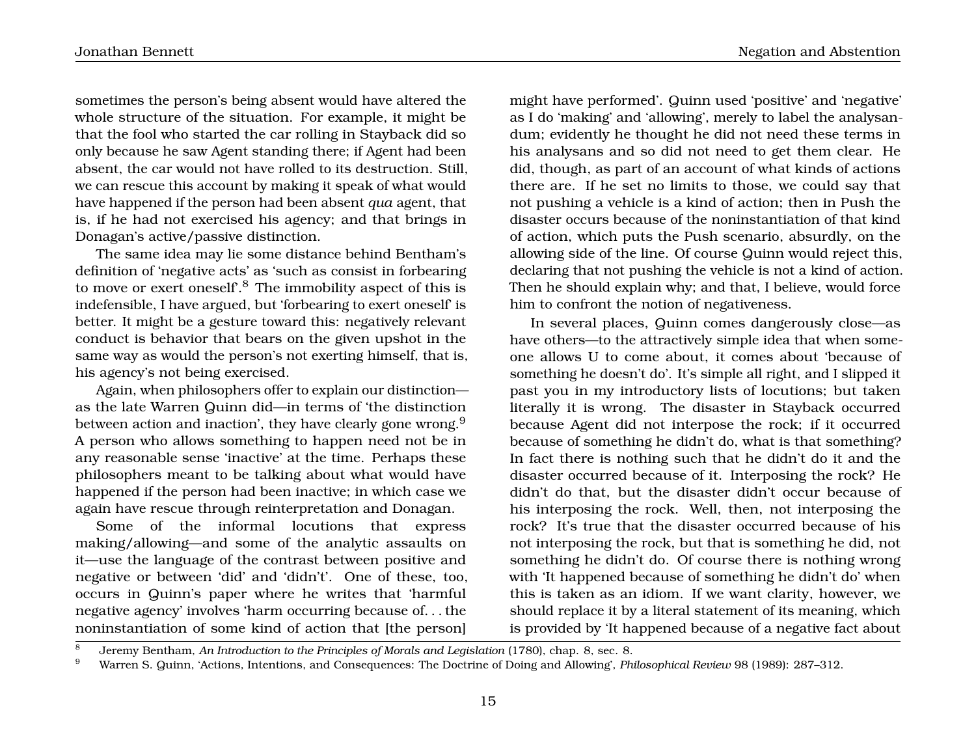sometimes the person's being absent would have altered the whole structure of the situation. For example, it might be that the fool who started the car rolling in Stayback did so only because he saw Agent standing there; if Agent had been absent, the car would not have rolled to its destruction. Still, we can rescue this account by making it speak of what would have happened if the person had been absent *qua* agent, that is, if he had not exercised his agency; and that brings in Donagan's active/passive distinction.

The same idea may lie some distance behind Bentham's definition of 'negative acts' as 'such as consist in forbearing to move or exert oneself.<sup>8</sup> The immobility aspect of this is indefensible, I have argued, but 'forbearing to exert oneself' is better. It might be a gesture toward this: negatively relevant conduct is behavior that bears on the given upshot in the same way as would the person's not exerting himself, that is, his agency's not being exercised.

Again, when philosophers offer to explain our distinction as the late Warren Quinn did—in terms of 'the distinction between action and inaction', they have clearly gone wrong.<sup>9</sup> A person who allows something to happen need not be in any reasonable sense 'inactive' at the time. Perhaps these philosophers meant to be talking about what would have happened if the person had been inactive; in which case we again have rescue through reinterpretation and Donagan.

Some of the informal locutions that express making/allowing—and some of the analytic assaults on it—use the language of the contrast between positive and negative or between 'did' and 'didn't'. One of these, too, occurs in Quinn's paper where he writes that 'harmful negative agency' involves 'harm occurring because of. . . the noninstantiation of some kind of action that [the person]

might have performed'. Quinn used 'positive' and 'negative' as I do 'making' and 'allowing', merely to label the analysandum; evidently he thought he did not need these terms in his analysans and so did not need to get them clear. He did, though, as part of an account of what kinds of actions there are. If he set no limits to those, we could say that not pushing a vehicle is a kind of action; then in Push the disaster occurs because of the noninstantiation of that kind of action, which puts the Push scenario, absurdly, on the allowing side of the line. Of course Quinn would reject this, declaring that not pushing the vehicle is not a kind of action. Then he should explain why; and that, I believe, would force him to confront the notion of negativeness.

In several places, Quinn comes dangerously close—as have others—to the attractively simple idea that when someone allows U to come about, it comes about 'because of something he doesn't do'. It's simple all right, and I slipped it past you in my introductory lists of locutions; but taken literally it is wrong. The disaster in Stayback occurred because Agent did not interpose the rock; if it occurred because of something he didn't do, what is that something? In fact there is nothing such that he didn't do it and the disaster occurred because of it. Interposing the rock? He didn't do that, but the disaster didn't occur because of his interposing the rock. Well, then, not interposing the rock? It's true that the disaster occurred because of his not interposing the rock, but that is something he did, not something he didn't do. Of course there is nothing wrong with 'It happened because of something he didn't do' when this is taken as an idiom. If we want clarity, however, we should replace it by a literal statement of its meaning, which is provided by 'It happened because of a negative fact about

<sup>8</sup> Jeremy Bentham, *An Introduction to the Principles of Morals and Legislation* (1780), chap. 8, sec. 8.

<sup>9</sup> Warren S. Quinn, 'Actions, Intentions, and Consequences: The Doctrine of Doing and Allowing', *Philosophical Review* 98 (1989): 287–312.